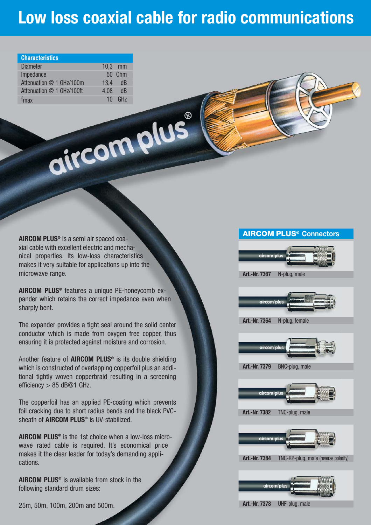# **Low loss coaxial cable for radio communications**

| <b>Characteristics</b>    |      |           |
|---------------------------|------|-----------|
| <b>Diameter</b>           |      | $10.3$ mm |
| Impedance                 |      | 50 0hm    |
| Attenuation @ 1 GHz/100m  | 13,4 | - dB      |
| Attenuation @ 1 GHz/100ft | 4,08 | dB        |
| <i>I</i> <sub>max</sub>   |      | $10$ GHz  |

**AIRCOM PLUS®** is a semi air spaced coaxial cable with excellent electric and mechanical properties. Its low-loss characteristics makes it very suitable for applications up into the microwave range.

**AIRCOM PLUS®** features a unique PE-honeycomb expander which retains the correct impedance even when sharply bent.

aircomplus

The expander provides a tight seal around the solid center conductor which is made from oxygen free copper, thus ensuring it is protected against moisture and corrosion.

Another feature of **AIRCOM PLUS®** is its double shielding which is constructed of overlapping copperfoil plus an additional tightly woven copperbraid resulting in a screening efficiency > 85 dB@1 GHz.

The copperfoil has an applied PE-coating which prevents foil cracking due to short radius bends and the black PVCsheath of **AIRCOM PLUS®** is UV-stabilized.

**AIRCOM PLUS®** is the 1st choice when a low-loss microwave rated cable is required. It's economical price makes it the clear leader for today's demanding applications.

**AIRCOM PLUS®** is available from stock in the following standard drum sizes:

25m, 50m, 100m, 200m and 500m.

### **AIRCOM PLUS® Connectors**



**Art.-Nr. 7367** N-plug, male



**Art.-Nr. 7364** N-plug, female



**Art.-Nr. 7379** BNC-plug, male

aircom p

**Art.-Nr. 7382** TNC-plug, male



**Art.-Nr. 7384** TNC-RP-plug, male (reverse polarity)



**Art.-Nr. 7378** UHF-plug, male